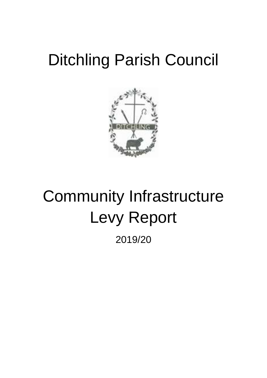# Ditchling Parish Council



# Community Infrastructure Levy Report 2019/20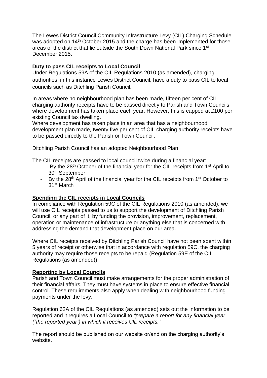The Lewes District Council Community Infrastructure Levy (CIL) Charging Schedule was adopted on 14<sup>th</sup> October 2015 and the charge has been implemented for those areas of the district that lie outside the South Down National Park since 1st December 2015.

## **Duty to pass CIL receipts to Local Council**

Under Regulations 59A of the CIL Regulations 2010 (as amended), charging authorities, in this instance Lewes District Council, have a duty to pass CIL to local councils such as Ditchling Parish Council.

In areas where no neighbourhood plan has been made, fifteen per cent of CIL charging authority receipts have to be passed directly to Parish and Town Councils where development has taken place each year. However, this is capped at £100 per existing Council tax dwelling.

Where development has taken place in an area that has a neighbourhood development plan made, twenty five per cent of CIL charging authority receipts have to be passed directly to the Parish or Town Council.

Ditchling Parish Council has an adopted Neighbourhood Plan

The CIL receipts are passed to local council twice during a financial year:

- By the 28<sup>th</sup> October of the financial year for the CIL receipts from 1<sup>st</sup> April to 30th September
- By the  $28<sup>th</sup>$  April of the financial year for the CIL receipts from 1<sup>st</sup> October to 31st March

### **Spending the CIL receipts in Local Councils**

In compliance with Regulation 59C of the CIL Regulations 2010 (as amended), we will use CIL receipts passed to us to support the development of Ditchling Parish Council, or any part of it, by funding the provision, improvement, replacement, operation or maintenance of infrastructure or anything else that is concerned with addressing the demand that development place on our area.

Where CIL receipts received by Ditchling Parish Council have not been spent within 5 years of receipt or otherwise that in accordance with regulation 59C, the charging authority may require those receipts to be repaid (Regulation 59E of the CIL Regulations (as amended))

### **Reporting by Local Councils**

Parish and Town Council must make arrangements for the proper administration of their financial affairs. They must have systems in place to ensure effective financial control. These requirements also apply when dealing with neighbourhood funding payments under the levy.

Regulation 62A of the CIL Regulations (as amended) sets out the information to be reported and it requires a Local Council to *"prepare a report for any financial year ("the reported year") in which it receives CIL receipts."*

The report should be published on our website or/and on the charging authority's website.